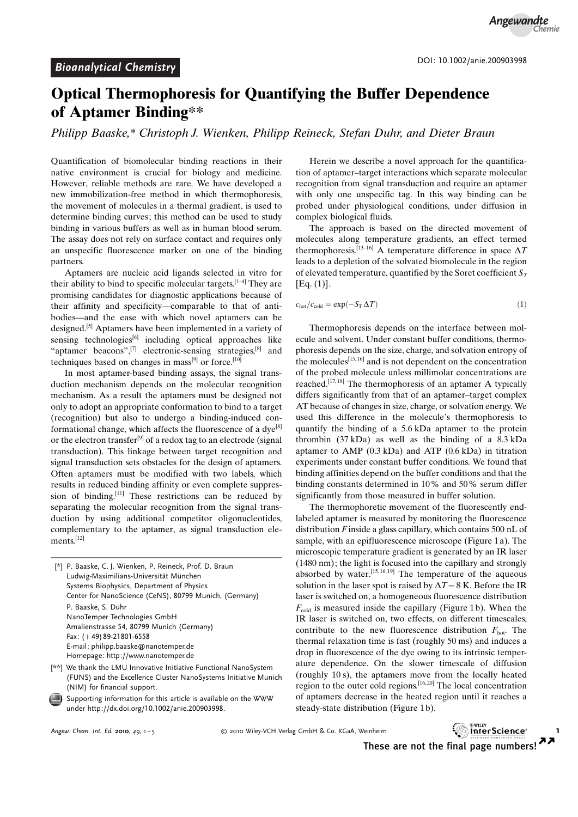### Optical Thermophoresis for Quantifying the Buffer Dependence of Aptamer Binding\*\*

Philipp Baaske,\* Christoph J. Wienken, Philipp Reineck, Stefan Duhr, and Dieter Braun

Quantification of biomolecular binding reactions in their native environment is crucial for biology and medicine. However, reliable methods are rare. We have developed a new immobilization-free method in which thermophoresis, the movement of molecules in a thermal gradient, is used to determine binding curves; this method can be used to study binding in various buffers as well as in human blood serum. The assay does not rely on surface contact and requires only an unspecific fluorescence marker on one of the binding partners.

Aptamers are nucleic acid ligands selected in vitro for their ability to bind to specific molecular targets.<sup>[1-4]</sup> They are promising candidates for diagnostic applications because of their affinity and specificity—comparable to that of antibodies—and the ease with which novel aptamers can be designed.[5] Aptamers have been implemented in a variety of sensing technologies<sup>[6]</sup> including optical approaches like "aptamer beacons",<sup>[7]</sup> electronic-sensing strategies,<sup>[8]</sup> and techniques based on changes in mass $[9]$  or force.<sup>[10]</sup>

In most aptamer-based binding assays, the signal transduction mechanism depends on the molecular recognition mechanism. As a result the aptamers must be designed not only to adopt an appropriate conformation to bind to a target (recognition) but also to undergo a binding-induced conformational change, which affects the fluorescence of a dye<sup>[8]</sup> or the electron transfer<sup>[9]</sup> of a redox tag to an electrode (signal transduction). This linkage between target recognition and signal transduction sets obstacles for the design of aptamers. Often aptamers must be modified with two labels, which results in reduced binding affinity or even complete suppression of binding.[11] These restrictions can be reduced by separating the molecular recognition from the signal transduction by using additional competitor oligonucleotides, complementary to the aptamer, as signal transduction elements.<sup>[12]</sup>

| [*] P. Baaske, C. J. Wienken, P. Reineck, Prof. D. Braun<br>Ludwig-Maximilians-Universität München<br>Systems Biophysics, Department of Physics<br>Center for NanoScience (CeNS), 80799 Munich, (Germany) |
|-----------------------------------------------------------------------------------------------------------------------------------------------------------------------------------------------------------|
| P. Baaske, S. Duhr<br>NanoTemper Technologies GmbH                                                                                                                                                        |
| Amalienstrasse 54, 80799 Munich (Germany)                                                                                                                                                                 |
| Fax: $(+49)$ 89-21801-6558                                                                                                                                                                                |
| E-mail: philipp.baaske@nanotemper.de                                                                                                                                                                      |
| Homepage: http://www.nanotemper.de                                                                                                                                                                        |
| [**] We thank the LMLL Innovative Initiative Eunctional NanoSystem                                                                                                                                        |

<sup>[\*\*]</sup> We thank the LMU Innovative Initiative Functional NanoSystem (FUNS) and the Excellence Cluster NanoSystems Initiative Munich (NIM) for financial support.

Supporting information for this article is available on the WWW under<http://dx.doi.org/10.1002/anie.200903998>.

Herein we describe a novel approach for the quantification of aptamer–target interactions which separate molecular recognition from signal transduction and require an aptamer with only one unspecific tag. In this way binding can be probed under physiological conditions, under diffusion in complex biological fluids.

The approach is based on the directed movement of molecules along temperature gradients, an effect termed thermophoresis.<sup>[13-16]</sup> A temperature difference in space  $\Delta T$ leads to a depletion of the solvated biomolecule in the region of elevated temperature, quantified by the Soret coefficient  $S_T$  $[Eq. (1)].$ 

$$
c_{\text{hot}}/c_{\text{cold}} = \exp(-S_{\text{T}} \Delta T) \tag{1}
$$

Thermophoresis depends on the interface between molecule and solvent. Under constant buffer conditions, thermophoresis depends on the size, charge, and solvation entropy of the molecules<sup>[15, 16]</sup> and is not dependent on the concentration of the probed molecule unless millimolar concentrations are reached.<sup>[17,18]</sup> The thermophoresis of an aptamer A typically differs significantly from that of an aptamer–target complex AT because of changes in size, charge, or solvation energy. We used this difference in the molecule's thermophoresis to quantify the binding of a 5.6 kDa aptamer to the protein thrombin (37 kDa) as well as the binding of a 8.3 kDa aptamer to AMP (0.3 kDa) and ATP (0.6 kDa) in titration experiments under constant buffer conditions. We found that binding affinities depend on the buffer conditions and that the binding constants determined in 10% and 50% serum differ significantly from those measured in buffer solution.

The thermophoretic movement of the fluorescently endlabeled aptamer is measured by monitoring the fluorescence distribution  $F$  inside a glass capillary, which contains 500 nL of sample, with an epifluorescence microscope (Figure 1 a). The microscopic temperature gradient is generated by an IR laser (1480 nm); the light is focused into the capillary and strongly absorbed by water.  $[15, 16, 19]$  The temperature of the aqueous solution in the laser spot is raised by  $\Delta T = 8$  K. Before the IR laser is switched on, a homogeneous fluorescence distribution  $F_{\text{cold}}$  is measured inside the capillary (Figure 1b). When the IR laser is switched on, two effects, on different timescales, contribute to the new fluorescence distribution  $F_{hot}$ . The thermal relaxation time is fast (roughly 50 ms) and induces a drop in fluorescence of the dye owing to its intrinsic temperature dependence. On the slower timescale of diffusion (roughly 10 s), the aptamers move from the locally heated region to the outer cold regions.  $[16, 20]$  The local concentration of aptamers decrease in the heated region until it reaches a steady-state distribution (Figure 1 b).

Angew. Chem. Int. Ed. 2010,  $10.1 - 5$ 

<sup>2</sup> EWILEY CONSIDERTY CH Verlag GmbH & Co. KGaA, Weinheim 12000 12010 12010 12010 12010 12010 12010 13000 13000 1



These are not the final page numbers! $\sum$  $\overline{\mathbf{z}}$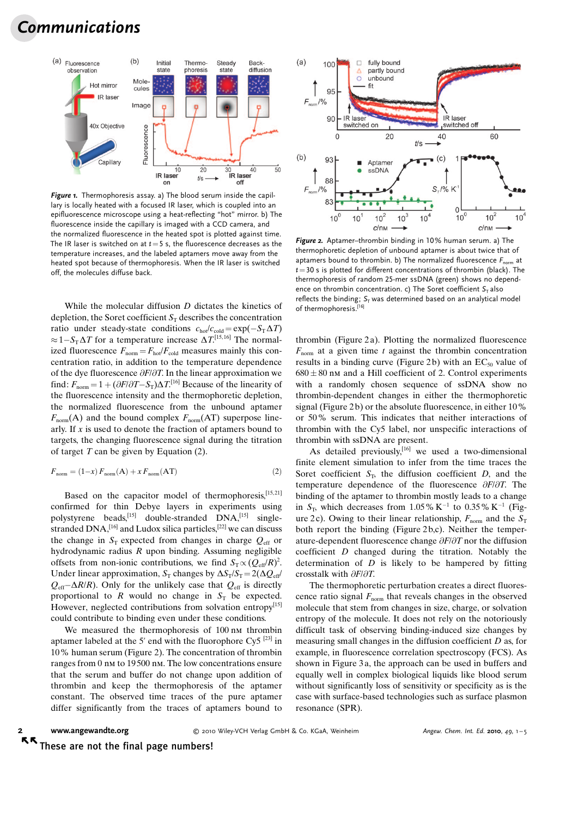# Communications



Figure 1. Thermophoresis assay. a) The blood serum inside the capillary is locally heated with a focused IR laser, which is coupled into an epifluorescence microscope using a heat-reflecting "hot" mirror. b) The fluorescence inside the capillary is imaged with a CCD camera, and the normalized fluorescence in the heated spot is plotted against time. The IR laser is switched on at  $t=5$  s, the fluorescence decreases as the temperature increases, and the labeled aptamers move away from the heated spot because of thermophoresis. When the IR laser is switched off, the molecules diffuse back.

While the molecular diffusion D dictates the kinetics of depletion, the Soret coefficient  $S_T$  describes the concentration ratio under steady-state conditions  $c_{hot}/c_{cold} = \exp(-S_{T} \Delta T)$  $\approx 1 - S_{\rm T} \Delta T$  for a temperature increase  $\Delta T$ <sup>[15,16]</sup> The normalized fluorescence  $F_{\text{norm}} = F_{\text{hot}}/F_{\text{cold}}$  measures mainly this concentration ratio, in addition to the temperature dependence of the dye fluorescence  $\partial F/\partial T$ . In the linear approximation we find:  $F_{\text{norm}} = 1 + (\partial F/\partial T - S_T)\Delta T$ <sup>[16]</sup> Because of the linearity of the fluorescence intensity and the thermophoretic depletion, the normalized fluorescence from the unbound aptamer  $F_{\text{norm}}(A)$  and the bound complex  $F_{\text{norm}}(AT)$  superpose linearly. If  $x$  is used to denote the fraction of aptamers bound to targets, the changing fluorescence signal during the titration of target  $T$  can be given by Equation (2).

$$
F_{\text{norm}} = (1-x) F_{\text{norm}}(\mathbf{A}) + x F_{\text{norm}}(\mathbf{A}\mathbf{T})
$$
\n(2)

Based on the capacitor model of thermophoresis, $[15, 21]$ confirmed for thin Debye layers in experiments using polystyrene beads,<sup>[15]</sup> double-stranded DNA,<sup>[15]</sup> singlestranded  $DNA$ ,  $[16]$  and Ludox silica particles,  $[22]$  we can discuss the change in  $S_T$  expected from changes in charge  $Q_{\text{eff}}$  or hydrodynamic radius R upon binding. Assuming negligible offsets from non-ionic contributions, we find  $S_T \propto (Q_{\text{eff}}/R)^2$ . Under linear approximation,  $S_T$  changes by  $\Delta S_T/S_T = 2(\Delta Q_{eff}/T_{eff})$  $Q_{\text{eff}} - \Delta R/R$ ). Only for the unlikely case that  $Q_{\text{eff}}$  is directly proportional to  $R$  would no change in  $S_T$  be expected. However, neglected contributions from solvation entropy<sup>[15]</sup> could contribute to binding even under these conditions.

We measured the thermophoresis of 100 nm thrombin aptamer labeled at the 5' end with the fluorophore Cy5<sup>[23]</sup> in 10% human serum (Figure 2). The concentration of thrombin ranges from 0 nm to 19 500 nm. The low concentrations ensure that the serum and buffer do not change upon addition of thrombin and keep the thermophoresis of the aptamer constant. The observed time traces of the pure aptamer differ significantly from the traces of aptamers bound to



Figure 2. Aptamer–thrombin binding in 10% human serum. a) The thermophoretic depletion of unbound aptamer is about twice that of aptamers bound to thrombin. b) The normalized fluorescence  $F_{\text{norm}}$  at  $t=30$  s is plotted for different concentrations of thrombin (black). The thermophoresis of random 25-mer ssDNA (green) shows no dependence on thrombin concentration. c) The Soret coefficient  $S<sub>T</sub>$  also reflects the binding;  $S_T$  was determined based on an analytical model of thermophoresis.[16]

thrombin (Figure 2 a). Plotting the normalized fluorescence  $F_{\text{norm}}$  at a given time t against the thrombin concentration results in a binding curve (Figure 2b) with an  $EC_{50}$  value of  $680 \pm 80$  nm and a Hill coefficient of 2. Control experiments with a randomly chosen sequence of ssDNA show no thrombin-dependent changes in either the thermophoretic signal (Figure 2b) or the absolute fluorescence, in either 10% or 50% serum. This indicates that neither interactions of thrombin with the Cy5 label, nor unspecific interactions of thrombin with ssDNA are present.

As detailed previously,  $[16]$  we used a two-dimensional finite element simulation to infer from the time traces the Soret coefficient  $S_T$ , the diffusion coefficient D, and the temperature dependence of the fluorescence  $\partial F/\partial T$ . The binding of the aptamer to thrombin mostly leads to a change in  $S_T$ , which decreases from 1.05% K<sup>-1</sup> to 0.35% K<sup>-1</sup> (Figure 2c). Owing to their linear relationship,  $F_{\text{norm}}$  and the  $S_T$ both report the binding (Figure 2b,c). Neither the temperature-dependent fluorescence change  $\partial F/\partial T$  nor the diffusion coefficient D changed during the titration. Notably the determination of  $D$  is likely to be hampered by fitting crosstalk with  $\partial F/\partial T$ .

The thermophoretic perturbation creates a direct fluorescence ratio signal  $F_{\text{norm}}$  that reveals changes in the observed molecule that stem from changes in size, charge, or solvation entropy of the molecule. It does not rely on the notoriously difficult task of observing binding-induced size changes by measuring small changes in the diffusion coefficient  $D$  as, for example, in fluorescence correlation spectroscopy (FCS). As shown in Figure 3 a, the approach can be used in buffers and equally well in complex biological liquids like blood serum without significantly loss of sensitivity or specificity as is the case with surface-based technologies such as surface plasmon resonance (SPR).

[www.angewandte.org](http://www.angewandte.org)

 $Q$  2010 Wiley-VCH Verlag GmbH & Co. KGaA, Weinheim Angew. Chem. Int. Ed. 2010, 49, 1-5

55 These are not the final page numbers!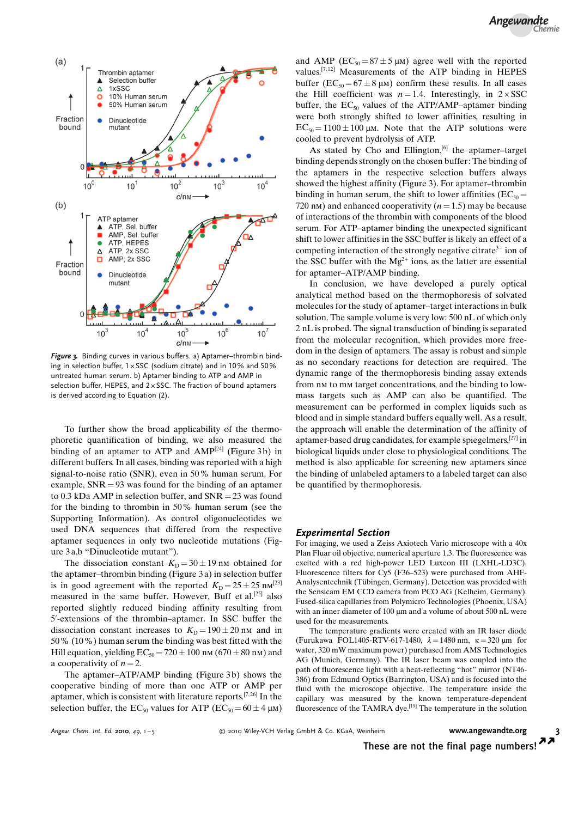

Figure 3. Binding curves in various buffers. a) Aptamer-thrombin binding in selection buffer,  $1 \times SSC$  (sodium citrate) and in 10% and 50% untreated human serum. b) Aptamer binding to ATP and AMP in selection buffer, HEPES, and  $2 \times$ SSC. The fraction of bound aptamers is derived according to Equation (2).

To further show the broad applicability of the thermophoretic quantification of binding, we also measured the binding of an aptamer to ATP and AMP<sup>[24]</sup> (Figure 3b) in different buffers. In all cases, binding was reported with a high signal-to-noise ratio (SNR), even in 50% human serum. For example,  $SNR = 93$  was found for the binding of an aptamer to 0.3 kDa AMP in selection buffer, and  $SNR = 23$  was found for the binding to thrombin in 50% human serum (see the Supporting Information). As control oligonucleotides we used DNA sequences that differed from the respective aptamer sequences in only two nucleotide mutations (Figure 3 a,b "Dinucleotide mutant").

The dissociation constant  $K<sub>D</sub> = 30 \pm 19$  nm obtained for the aptamer–thrombin binding (Figure 3 a) in selection buffer is in good agreement with the reported  $K<sub>D</sub> = 25 \pm 25$  nm<sup>[23]</sup> measured in the same buffer. However, Buff et al.<sup>[25]</sup> also reported slightly reduced binding affinity resulting from 5'-extensions of the thrombin–aptamer. In SSC buffer the dissociation constant increases to  $K<sub>D</sub> = 190 \pm 20$  nm and in 50% (10%) human serum the binding was best fitted with the Hill equation, yielding  $EC_{50} = 720 \pm 100$  nm (670  $\pm 80$  nm) and a cooperativity of  $n = 2$ .

The aptamer–ATP/AMP binding (Figure 3b) shows the cooperative binding of more than one ATP or AMP per aptamer, which is consistent with literature reports.[7, 26] In the selection buffer, the EC<sub>50</sub> values for ATP (EC<sub>50</sub> = 60  $\pm$  4  $\mu$ m) and AMP ( $EC_{50} = 87 \pm 5 \mu$ M) agree well with the reported values.<sup>[7,12]</sup> Measurements of the ATP binding in HEPES buffer ( $EC_{50} = 67 \pm 8 \mu m$ ) confirm these results. In all cases the Hill coefficient was  $n = 1.4$ . Interestingly, in  $2 \times SSC$ buffer, the  $EC_{50}$  values of the ATP/AMP–aptamer binding were both strongly shifted to lower affinities, resulting in  $EC_{50} = 1100 \pm 100 \mu M$ . Note that the ATP solutions were cooled to prevent hydrolysis of ATP.

As stated by Cho and Ellington,<sup>[6]</sup> the aptamer-target binding depends strongly on the chosen buffer: The binding of the aptamers in the respective selection buffers always showed the highest affinity (Figure 3). For aptamer–thrombin binding in human serum, the shift to lower affinities ( $EC_{50} =$ 720 nm) and enhanced cooperativity  $(n = 1.5)$  may be because of interactions of the thrombin with components of the blood serum. For ATP–aptamer binding the unexpected significant shift to lower affinities in the SSC buffer is likely an effect of a competing interaction of the strongly negative citrate<sup>3-</sup> ion of the SSC buffer with the  $Mg^{2+}$  ions, as the latter are essential for aptamer–ATP/AMP binding.

In conclusion, we have developed a purely optical analytical method based on the thermophoresis of solvated molecules for the study of aptamer–target interactions in bulk solution. The sample volume is very low: 500 nL of which only 2 nL is probed. The signal transduction of binding is separated from the molecular recognition, which provides more freedom in the design of aptamers. The assay is robust and simple as no secondary reactions for detection are required. The dynamic range of the thermophoresis binding assay extends from nm to mm target concentrations, and the binding to lowmass targets such as AMP can also be quantified. The measurement can be performed in complex liquids such as blood and in simple standard buffers equally well. As a result, the approach will enable the determination of the affinity of aptamer-based drug candidates, for example spiegelmers,[27] in biological liquids under close to physiological conditions. The method is also applicable for screening new aptamers since the binding of unlabeled aptamers to a labeled target can also be quantified by thermophoresis.

#### Experimental Section

For imaging, we used a Zeiss Axiotech Vario microscope with a 40x Plan Fluar oil objective, numerical aperture 1.3. The fluorescence was excited with a red high-power LED Luxeon III (LXHL-LD3C). Fluorescence filters for Cy5 (F36–523) were purchased from AHF-Analysentechnik (Tübingen, Germany). Detection was provided with the Sensicam EM CCD camera from PCO AG (Kelheim, Germany). Fused-silica capillaries from Polymicro Technologies (Phoenix, USA) with an inner diameter of 100 µm and a volume of about 500 nL were used for the measurements.

The temperature gradients were created with an IR laser diode (Furukawa FOL1405-RTV-617-1480,  $\lambda = 1480$  nm,  $\kappa = 320$  µm for water, 320 mW maximum power) purchased from AMS Technologies AG (Munich, Germany). The IR laser beam was coupled into the path of fluorescence light with a heat-reflecting "hot" mirror (NT46- 386) from Edmund Optics (Barrington, USA) and is focused into the fluid with the microscope objective. The temperature inside the capillary was measured by the known temperature-dependent fluorescence of the TAMRA dye.[19] The temperature in the solution

 $\overline{\mathbf{z}}$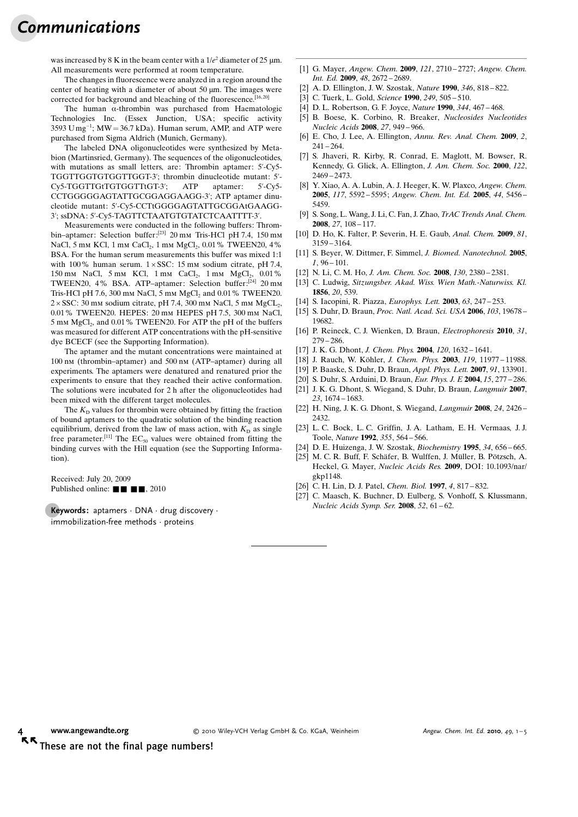## Communications

was increased by 8 K in the beam center with a  $1/e^2$  diameter of 25  $\mu$ m. All measurements were performed at room temperature.

The changes in fluorescence were analyzed in a region around the center of heating with a diameter of about 50  $\mu$ m. The images were corrected for background and bleaching of the fluorescence.<sup>[16,20]</sup>

The human  $\alpha$ -thrombin was purchased from Haematologic Technologies Inc. (Essex Junction, USA; specific activity  $3593$   $\text{U}$  mg<sup>-1</sup>; MW = 36.7 kDa). Human serum, AMP, and ATP were purchased from Sigma Aldrich (Munich, Germany).

The labeled DNA oligonucleotides were synthesized by Metabion (Martinsried, Germany). The sequences of the oligonucleotides, with mutations as small letters, are: Thrombin aptamer: 5'-Cy5- TGGTTGGTGTGGTTGGT-3'; thrombin dinucleotide mutant: 5'- Cy5-TGGTTGtTGTGGTTtGT-3'; ATP aptamer: 5'-Cy5- CCTGGGGGAGTATTGCGGAGGAAGG-3'; ATP aptamer dinucleotide mutant: 5'-Cy5-CCTtGGGGAGTATTGCGGAtGAAGG-3'; ssDNA: 5'-Cy5-TAGTTCTAATGTGTATCTCAATTTT-3'.

Measurements were conducted in the following buffers: Thrombin–aptamer: Selection buffer:<sup>[23]</sup> 20 mm Tris-HCl pH 7.4, 150 mm NaCl, 5 mm KCl, 1 mm CaCl<sub>2</sub>, 1 mm MgCl<sub>2</sub>, 0.01% TWEEN20, 4% BSA. For the human serum measurements this buffer was mixed 1:1 with 100% human serum.  $1 \times SSC$ : 15 mm sodium citrate, pH 7.4, 150 mm NaCl, 5 mm KCl, 1 mm CaCl<sub>2</sub>, 1 mm MgCl<sub>2</sub>, 0.01% TWEEN20, 4% BSA. ATP-aptamer: Selection buffer:<sup>[24]</sup> 20 mm Tris-HCl pH 7.6, 300 mm NaCl, 5 mm  $MgCl<sub>2</sub>$  and 0.01% TWEEN20.  $2 \times SSC$ : 30 mm sodium citrate, pH 7.4, 300 mm NaCl, 5 mm MgCL<sub>2</sub>, 0.01% TWEEN20. HEPES: 20 mm HEPES pH 7.5, 300 mm NaCl, 5 mm MgCl<sub>2</sub>, and 0.01% TWEEN20. For ATP the pH of the buffers was measured for different ATP concentrations with the pH-sensitive dye BCECF (see the Supporting Information).

The aptamer and the mutant concentrations were maintained at 100 nm (thrombin–aptamer) and 500 nm (ATP–aptamer) during all experiments. The aptamers were denatured and renatured prior the experiments to ensure that they reached their active conformation. The solutions were incubated for 2 h after the oligonucleotides had been mixed with the different target molecules.

The  $K<sub>D</sub>$  values for thrombin were obtained by fitting the fraction of bound aptamers to the quadratic solution of the binding reaction equilibrium, derived from the law of mass action, with  $K<sub>D</sub>$  as single free parameter.<sup>[11]</sup> The  $EC_{50}$  values were obtained from fitting the binding curves with the Hill equation (see the Supporting Information).

Received: July 20, 2009 Published online:  $\blacksquare$   $\blacksquare$ , 2010

**Keywords:** aptamers  $\cdot$  DNA  $\cdot$  drug discovery  $\cdot$ immobilization-free methods · proteins

- [1] G. Mayer, [Angew. Chem.](http://dx.doi.org/10.1002/anie.200804643) 2009, 121, 2710-2727; Angew. Chem. Int. Ed. 2009, 48[, 2672 – 2689.](http://dx.doi.org/10.1002/anie.200804643)
- [2] A. D. Ellington, J. W. Szostak, Nature 1990, 346[, 818 822](http://dx.doi.org/10.1038/346818a0).
- [3] C. Tuerk, L. Gold, Science 1990, 249, 505-510.
- [4] D. L. Robertson, G. F. Joyce, Nature 1990, 344[, 467 468.](http://dx.doi.org/10.1038/344467a0)
- [5] B. Boese, K. Corbino, R. Breaker, Nucleosides Nucleotides Nucleic Acids 2008, 27, 949 – 966.
- [6] E. Cho, J. Lee, A. Ellington, Annu. Rev. Anal. Chem. 2009, 2,  $241 - 264.$
- [7] S. Jhaveri, R. Kirby, R. Conrad, E. Maglott, M. Bowser, R. Kennedy, G. Glick, A. Ellington, [J. Am. Chem. Soc.](http://dx.doi.org/10.1021/ja992393b) 2000, 122, [2469 – 2473.](http://dx.doi.org/10.1021/ja992393b)
- [8] Y. Xiao, A. A. Lubin, A. J. Heeger, K. W. Plaxco, [Angew. Chem.](http://dx.doi.org/10.1002/ange.200500989) 2005, 117[, 5592 – 5595](http://dx.doi.org/10.1002/ange.200500989); [Angew. Chem. Int. Ed.](http://dx.doi.org/10.1002/anie.200500989) 2005, 44, 5456 – [5459](http://dx.doi.org/10.1002/anie.200500989).
- [9] S. Song, L. Wang, J. Li, C. Fan, J. Zhao, [TrAC Trends Anal. Chem.](http://dx.doi.org/10.1016/j.trac.2007.12.004) 2008, 27[, 108 – 117](http://dx.doi.org/10.1016/j.trac.2007.12.004).
- [10] D. Ho, K. Falter, P. Severin, H. E. Gaub, [Anal. Chem.](http://dx.doi.org/10.1021/ac802766j) 2009, 81, [3159 – 3164.](http://dx.doi.org/10.1021/ac802766j)
- [11] S. Beyer, W. Dittmer, F. Simmel, [J. Biomed. Nanotechnol.](http://dx.doi.org/10.1166/jbn.2005.007) 2005,  $1, 96 - 101.$
- [12] N. Li, C. M. Ho, [J. Am. Chem. Soc.](http://dx.doi.org/10.1021/ja076787b) 2008, 130, 2380 2381.
- [13] C. Ludwig, Sitzungsber. Akad. Wiss. Wien Math.-Naturwiss. Kl. 1856, 20, 539.
- [14] S. Iacopini, R. Piazza, [Europhys. Lett.](http://dx.doi.org/10.1209/epl/i2003-00520-y) 2003, 63, 247 253.
- [15] S. Duhr, D. Braun, [Proc. Natl. Acad. Sci. USA](http://dx.doi.org/10.1073/pnas.0603873103) 2006, 103, 19678 [19682](http://dx.doi.org/10.1073/pnas.0603873103).
- [16] P. Reineck, C. J. Wienken, D. Braun, [Electrophoresis](http://dx.doi.org/10.1002/elps.200900505) 2010, 31, [279 – 286.](http://dx.doi.org/10.1002/elps.200900505)
- [17] J. K. G. Dhont, [J. Chem. Phys.](http://dx.doi.org/10.1063/1.1633546) 2004, 120, 1632-1641.
- [18] J. Rauch, W. Köhler, [J. Chem. Phys.](http://dx.doi.org/10.1063/1.1623745) 2003, 119, 11977-11988.
- [19] P. Baaske, S. Duhr, D. Braun, [Appl. Phys. Lett.](http://dx.doi.org/10.1063/1.2790806) 2007, 91, 133901.
- [20] S. Duhr, S. Arduini, D. Braun, *[Eur. Phys. J. E](http://dx.doi.org/10.1140/epje/i2004-10073-5)* 2004, 15, 277 286.
- [21] J. K. G. Dhont, S. Wiegand, S. Duhr, D. Braun, [Langmuir](http://dx.doi.org/10.1021/la062184m) 2007, 23[, 1674 – 1683.](http://dx.doi.org/10.1021/la062184m)
- [22] H. Ning, J. K. G. Dhont, S. Wiegand, [Langmuir](http://dx.doi.org/10.1021/la703517u) 2008, 24, 2426 [2432](http://dx.doi.org/10.1021/la703517u).
- [23] L. C. Bock, L. C. Griffin, J. A. Latham, E. H. Vermaas, J. J. Toole, Nature 1992, 355[, 564 – 566.](http://dx.doi.org/10.1038/355564a0)
- [24] D. E. Huizenga, J. W. Szostak, [Biochemistry](http://dx.doi.org/10.1021/bi00002a033) 1995, 34, 656–665.
- [25] M. C. R. Buff, F. Schäfer, B. Wulffen, J. Müller, B. Pötzsch, A. Heckel, G. Mayer, Nucleic Acids Res. 2009, DOI: 10.1093/nar/ gkp1148.
- [26] C. H. Lin, D. J. Patel, [Chem. Biol.](http://dx.doi.org/10.1016/S1074-5521(97)90115-0) 1997, 4, 817-832.
- [27] C. Maasch, K. Buchner, D. Eulberg, S. Vonhoff, S. Klussmann, [Nucleic Acids Symp. Ser.](http://dx.doi.org/10.1093/nass/nrn031) 2008, 52, 61-62.

KK These are not the final page numbers!